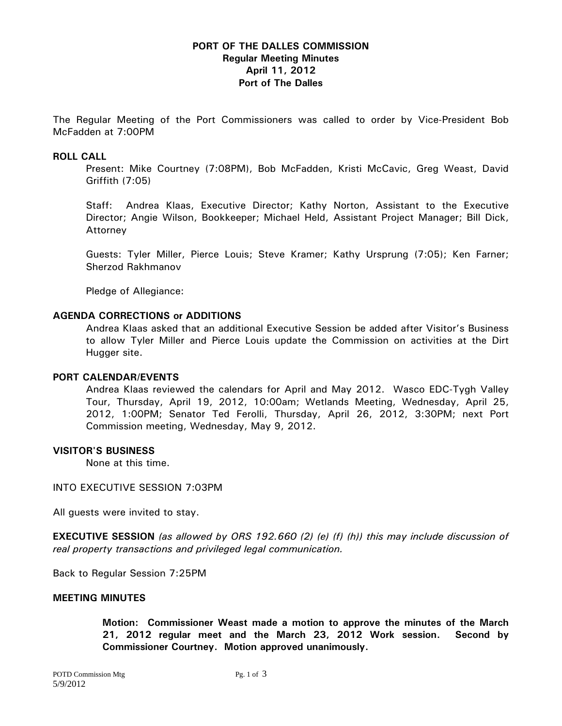# **PORT OF THE DALLES COMMISSION Regular Meeting Minutes April 11, 2012 Port of The Dalles**

The Regular Meeting of the Port Commissioners was called to order by Vice-President Bob McFadden at 7:00PM

### **ROLL CALL**

Present: Mike Courtney (7:08PM), Bob McFadden, Kristi McCavic, Greg Weast, David Griffith (7:05)

Staff: Andrea Klaas, Executive Director; Kathy Norton, Assistant to the Executive Director; Angie Wilson, Bookkeeper; Michael Held, Assistant Project Manager; Bill Dick, Attorney

Guests: Tyler Miller, Pierce Louis; Steve Kramer; Kathy Ursprung (7:05); Ken Farner; Sherzod Rakhmanov

Pledge of Allegiance:

### **AGENDA CORRECTIONS or ADDITIONS**

Andrea Klaas asked that an additional Executive Session be added after Visitor's Business to allow Tyler Miller and Pierce Louis update the Commission on activities at the Dirt Hugger site.

#### **PORT CALENDAR/EVENTS**

Andrea Klaas reviewed the calendars for April and May 2012. Wasco EDC-Tygh Valley Tour, Thursday, April 19, 2012, 10:00am; Wetlands Meeting, Wednesday, April 25, 2012, 1:00PM; Senator Ted Ferolli, Thursday, April 26, 2012, 3:30PM; next Port Commission meeting, Wednesday, May 9, 2012.

#### **VISITOR'S BUSINESS**

None at this time.

INTO EXECUTIVE SESSION 7:03PM

All guests were invited to stay.

**EXECUTIVE SESSION** *(as allowed by ORS 192.660 (2) (e) (f) (h)) this may include discussion of real property transactions and privileged legal communication.* 

Back to Regular Session 7:25PM

#### **MEETING MINUTES**

**Motion: Commissioner Weast made a motion to approve the minutes of the March 21, 2012 regular meet and the March 23, 2012 Work session. Second by Commissioner Courtney. Motion approved unanimously.**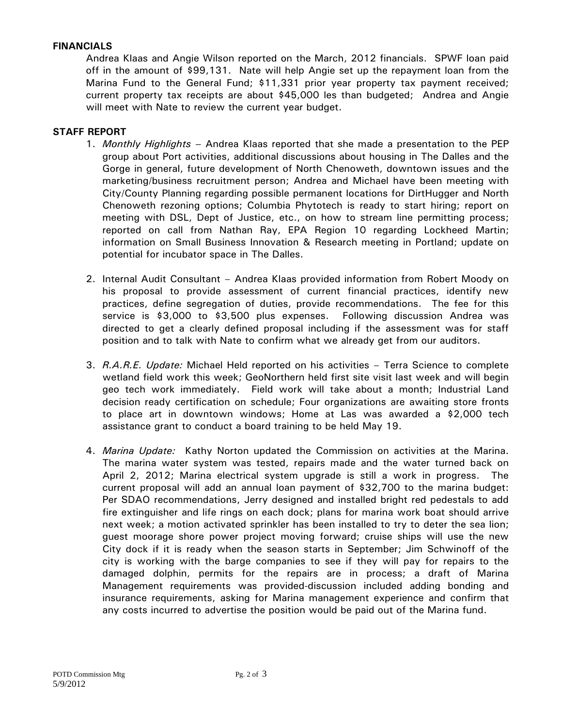# **FINANCIALS**

Andrea Klaas and Angie Wilson reported on the March, 2012 financials. SPWF loan paid off in the amount of \$99,131. Nate will help Angie set up the repayment loan from the Marina Fund to the General Fund; \$11,331 prior year property tax payment received; current property tax receipts are about \$45,000 les than budgeted; Andrea and Angie will meet with Nate to review the current year budget.

### **STAFF REPORT**

- 1. *Monthly Highlights* Andrea Klaas reported that she made a presentation to the PEP group about Port activities, additional discussions about housing in The Dalles and the Gorge in general, future development of North Chenoweth, downtown issues and the marketing/business recruitment person; Andrea and Michael have been meeting with City/County Planning regarding possible permanent locations for DirtHugger and North Chenoweth rezoning options; Columbia Phytotech is ready to start hiring; report on meeting with DSL, Dept of Justice, etc., on how to stream line permitting process; reported on call from Nathan Ray, EPA Region 10 regarding Lockheed Martin; information on Small Business Innovation & Research meeting in Portland; update on potential for incubator space in The Dalles.
- 2. Internal Audit Consultant Andrea Klaas provided information from Robert Moody on his proposal to provide assessment of current financial practices, identify new practices, define segregation of duties, provide recommendations. The fee for this service is \$3,000 to \$3,500 plus expenses. Following discussion Andrea was directed to get a clearly defined proposal including if the assessment was for staff position and to talk with Nate to confirm what we already get from our auditors.
- 3. *R.A.R.E. Update:* Michael Held reported on his activities Terra Science to complete wetland field work this week; GeoNorthern held first site visit last week and will begin geo tech work immediately. Field work will take about a month; Industrial Land decision ready certification on schedule; Four organizations are awaiting store fronts to place art in downtown windows; Home at Las was awarded a \$2,000 tech assistance grant to conduct a board training to be held May 19.
- 4. *Marina Update:* Kathy Norton updated the Commission on activities at the Marina. The marina water system was tested, repairs made and the water turned back on April 2, 2012; Marina electrical system upgrade is still a work in progress. The current proposal will add an annual loan payment of \$32,700 to the marina budget: Per SDAO recommendations, Jerry designed and installed bright red pedestals to add fire extinguisher and life rings on each dock; plans for marina work boat should arrive next week; a motion activated sprinkler has been installed to try to deter the sea lion; guest moorage shore power project moving forward; cruise ships will use the new City dock if it is ready when the season starts in September; Jim Schwinoff of the city is working with the barge companies to see if they will pay for repairs to the damaged dolphin, permits for the repairs are in process; a draft of Marina Management requirements was provided-discussion included adding bonding and insurance requirements, asking for Marina management experience and confirm that any costs incurred to advertise the position would be paid out of the Marina fund.